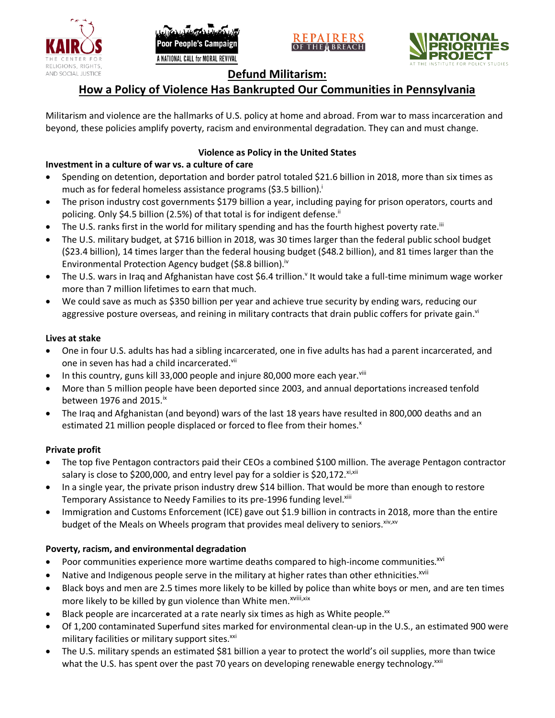





# **Defund Militarism:**

# **How a Policy of Violence Has Bankrupted Our Communities in Pennsylvania**

Militarism and violence are the hallmarks of U.S. policy at home and abroad. From war to mass incarceration and beyond, these policies amplify poverty, racism and environmental degradation. They can and must change.

# **Violence as Policy in the United States**

# **Investment in a culture of war vs. a culture of care**

- Spending on detention, deportation and border patrol totaled \$21.6 billion in 2018, more than six times as much as for federal homeless assistance programs (\$3.5 billion).<sup>i</sup>
- The prison industry cost governments \$179 billion a year, including paying for prison operators, courts and policing. Only \$4.5 billion (2.5%) of that total is for indigent defense.<sup>ii</sup>
- The U.S. ranks first in the world for military spending and has the fourth highest poverty rate.<sup>iii</sup>
- The U.S. military budget, at \$716 billion in 2018, was 30 times larger than the federal public school budget (\$23.4 billion), 14 times larger than the federal housing budget (\$48.2 billion), and 81 times larger than the Environmental Protection Agency budget (\$8.8 billion).<sup>iv</sup>
- The U.S. wars in Iraq and Afghanistan have cost \$6.4 trillion.<sup>v</sup> It would take a full-time minimum wage worker more than 7 million lifetimes to earn that much.
- We could save as much as \$350 billion per year and achieve true security by ending wars, reducing our aggressive posture overseas, and reining in military contracts that drain public coffers for private gain.<sup>vi</sup>

### **Lives at stake**

- One in four U.S. adults has had a sibling incarcerated, one in five adults has had a parent incarcerated, and one in seven has had a child incarcerated.vii
- In this country, guns kill 33,000 people and injure 80,000 more each year. $v_{\text{lin}}$
- More than 5 million people have been deported since 2003, and annual deportations increased tenfold between 1976 and 2015. $\mathrm{i}$ <sup>x</sup>
- The Iraq and Afghanistan (and beyond) wars of the last 18 years have resulted in 800,000 deaths and an estimated 21 million people displaced or forced to flee from their homes.<sup>x</sup>

## **Private profit**

- The top five Pentagon contractors paid their CEOs a combined \$100 million. The average Pentagon contractor salary is close to \$200,000, and entry level pay for a soldier is \$20,172. xi,xii
- In a single year, the private prison industry drew \$14 billion. That would be more than enough to restore Temporary Assistance to Needy Families to its pre-1996 funding level.<sup>xiii</sup>
- Immigration and Customs Enforcement (ICE) gave out \$1.9 billion in contracts in 2018, more than the entire budget of the Meals on Wheels program that provides meal delivery to seniors. Xiv, XV

## **Poverty, racism, and environmental degradation**

- Poor communities experience more wartime deaths compared to high-income communities.<sup>xvi</sup>
- Native and Indigenous people serve in the military at higher rates than other ethnicities.<sup>xvii</sup>
- Black boys and men are 2.5 times more likely to be killed by police than white boys or men, and are ten times more likely to be killed by gun violence than White men.<sup>xviii,xix</sup>
- Black people are incarcerated at a rate nearly six times as high as White people.<sup>xx</sup>
- Of 1,200 contaminated Superfund sites marked for environmental clean-up in the U.S., an estimated 900 were military facilities or military support sites.<sup>xxi</sup>
- The U.S. military spends an estimated \$81 billion a year to protect the world's oil supplies, more than twice what the U.S. has spent over the past 70 years on developing renewable energy technology.<sup>xxii</sup>